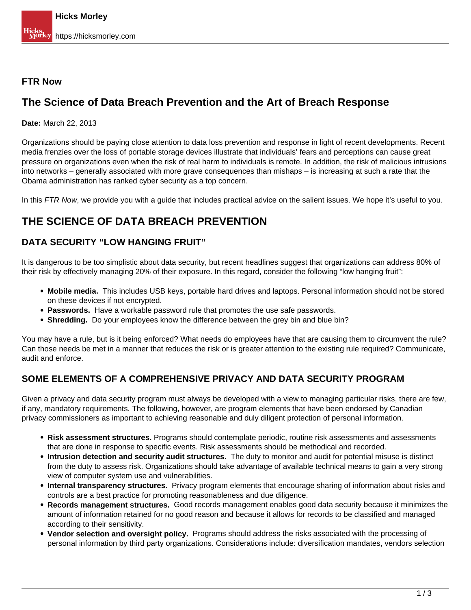#### **FTR Now**

## **The Science of Data Breach Prevention and the Art of Breach Response**

**Date:** March 22, 2013

Organizations should be paying close attention to data loss prevention and response in light of recent developments. Recent media frenzies over the loss of portable storage devices illustrate that individuals' fears and perceptions can cause great pressure on organizations even when the risk of real harm to individuals is remote. In addition, the risk of malicious intrusions into networks – generally associated with more grave consequences than mishaps – is increasing at such a rate that the Obama administration has ranked cyber security as a top concern.

In this FTR Now, we provide you with a guide that includes practical advice on the salient issues. We hope it's useful to you.

## **THE SCIENCE OF DATA BREACH PREVENTION**

#### **DATA SECURITY "LOW HANGING FRUIT"**

It is dangerous to be too simplistic about data security, but recent headlines suggest that organizations can address 80% of their risk by effectively managing 20% of their exposure. In this regard, consider the following "low hanging fruit":

- **Mobile media.** This includes USB keys, portable hard drives and laptops. Personal information should not be stored on these devices if not encrypted.
- **Passwords.** Have a workable password rule that promotes the use safe passwords.
- **Shredding.** Do your employees know the difference between the grey bin and blue bin?

You may have a rule, but is it being enforced? What needs do employees have that are causing them to circumvent the rule? Can those needs be met in a manner that reduces the risk or is greater attention to the existing rule required? Communicate, audit and enforce.

### **SOME ELEMENTS OF A COMPREHENSIVE PRIVACY AND DATA SECURITY PROGRAM**

Given a privacy and data security program must always be developed with a view to managing particular risks, there are few, if any, mandatory requirements. The following, however, are program elements that have been endorsed by Canadian privacy commissioners as important to achieving reasonable and duly diligent protection of personal information.

- **Risk assessment structures.** Programs should contemplate periodic, routine risk assessments and assessments that are done in response to specific events. Risk assessments should be methodical and recorded.
- **Intrusion detection and security audit structures.** The duty to monitor and audit for potential misuse is distinct from the duty to assess risk. Organizations should take advantage of available technical means to gain a very strong view of computer system use and vulnerabilities.
- **Internal transparency structures.** Privacy program elements that encourage sharing of information about risks and controls are a best practice for promoting reasonableness and due diligence.
- **Records management structures.** Good records management enables good data security because it minimizes the amount of information retained for no good reason and because it allows for records to be classified and managed according to their sensitivity.
- **Vendor selection and oversight policy.** Programs should address the risks associated with the processing of personal information by third party organizations. Considerations include: diversification mandates, vendors selection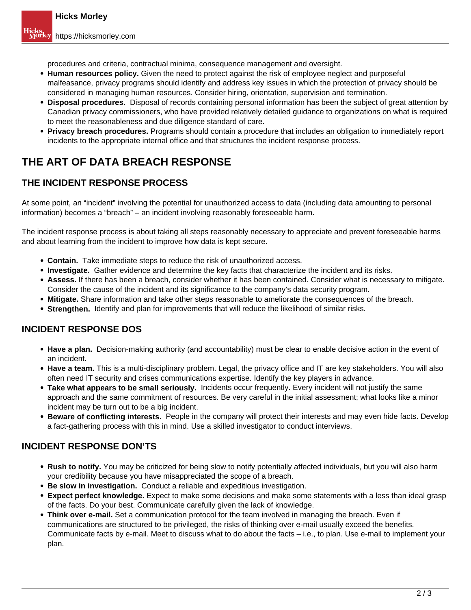procedures and criteria, contractual minima, consequence management and oversight.

- **Human resources policy.** Given the need to protect against the risk of employee neglect and purposeful malfeasance, privacy programs should identify and address key issues in which the protection of privacy should be considered in managing human resources. Consider hiring, orientation, supervision and termination.
- **Disposal procedures.** Disposal of records containing personal information has been the subject of great attention by Canadian privacy commissioners, who have provided relatively detailed guidance to organizations on what is required to meet the reasonableness and due diligence standard of care.
- **Privacy breach procedures.** Programs should contain a procedure that includes an obligation to immediately report incidents to the appropriate internal office and that structures the incident response process.

# **THE ART OF DATA BREACH RESPONSE**

### **THE INCIDENT RESPONSE PROCESS**

At some point, an "incident" involving the potential for unauthorized access to data (including data amounting to personal information) becomes a "breach" – an incident involving reasonably foreseeable harm.

The incident response process is about taking all steps reasonably necessary to appreciate and prevent foreseeable harms and about learning from the incident to improve how data is kept secure.

- **Contain.** Take immediate steps to reduce the risk of unauthorized access.
- **Investigate.** Gather evidence and determine the key facts that characterize the incident and its risks.
- **Assess.** If there has been a breach, consider whether it has been contained. Consider what is necessary to mitigate. Consider the cause of the incident and its significance to the company's data security program.
- **Mitigate.** Share information and take other steps reasonable to ameliorate the consequences of the breach.
- **Strengthen.** Identify and plan for improvements that will reduce the likelihood of similar risks.

#### **INCIDENT RESPONSE DOS**

- **Have a plan.** Decision-making authority (and accountability) must be clear to enable decisive action in the event of an incident.
- **Have a team.** This is a multi-disciplinary problem. Legal, the privacy office and IT are key stakeholders. You will also often need IT security and crises communications expertise. Identify the key players in advance.
- **Take what appears to be small seriously.** Incidents occur frequently. Every incident will not justify the same approach and the same commitment of resources. Be very careful in the initial assessment; what looks like a minor incident may be turn out to be a big incident.
- **Beware of conflicting interests.** People in the company will protect their interests and may even hide facts. Develop a fact-gathering process with this in mind. Use a skilled investigator to conduct interviews.

### **INCIDENT RESPONSE DON'TS**

- **Rush to notify.** You may be criticized for being slow to notify potentially affected individuals, but you will also harm your credibility because you have misappreciated the scope of a breach.
- **Be slow in investigation.** Conduct a reliable and expeditious investigation.
- **Expect perfect knowledge.** Expect to make some decisions and make some statements with a less than ideal grasp of the facts. Do your best. Communicate carefully given the lack of knowledge.
- **Think over e-mail.** Set a communication protocol for the team involved in managing the breach. Even if communications are structured to be privileged, the risks of thinking over e-mail usually exceed the benefits. Communicate facts by e-mail. Meet to discuss what to do about the facts – i.e., to plan. Use e-mail to implement your plan.